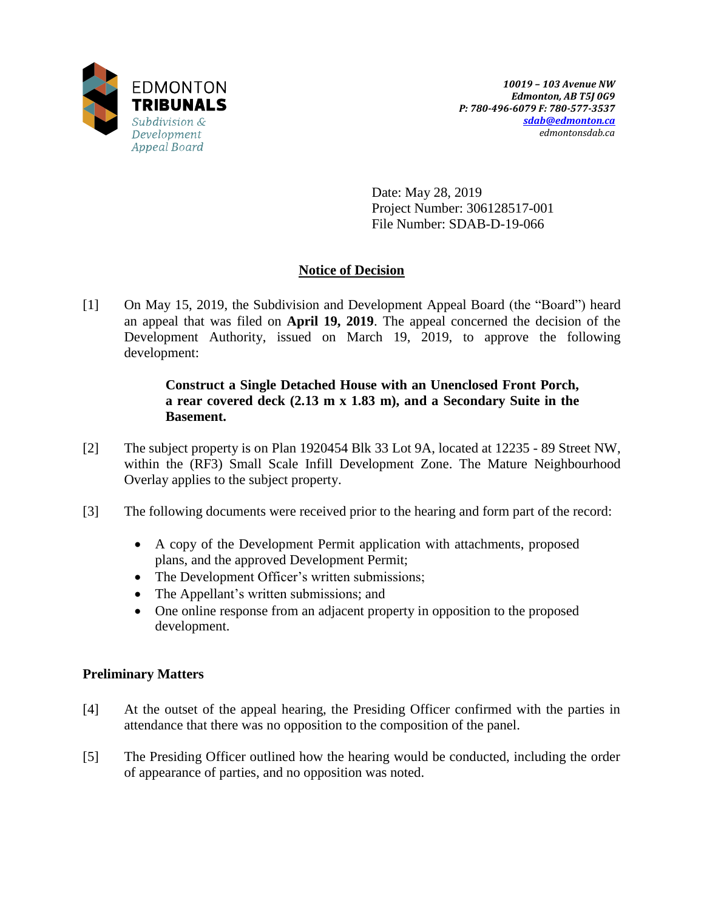

Date: May 28, 2019 Project Number: 306128517-001 File Number: SDAB-D-19-066

# **Notice of Decision**

[1] On May 15, 2019, the Subdivision and Development Appeal Board (the "Board") heard an appeal that was filed on **April 19, 2019**. The appeal concerned the decision of the Development Authority, issued on March 19, 2019, to approve the following development:

# **Construct a Single Detached House with an Unenclosed Front Porch, a rear covered deck (2.13 m x 1.83 m), and a Secondary Suite in the Basement.**

- [2] The subject property is on Plan 1920454 Blk 33 Lot 9A, located at 12235 89 Street NW, within the (RF3) Small Scale Infill Development Zone. The Mature Neighbourhood Overlay applies to the subject property.
- [3] The following documents were received prior to the hearing and form part of the record:
	- A copy of the Development Permit application with attachments, proposed plans, and the approved Development Permit;
	- The Development Officer's written submissions;
	- The Appellant's written submissions; and
	- One online response from an adjacent property in opposition to the proposed development.

# **Preliminary Matters**

- [4] At the outset of the appeal hearing, the Presiding Officer confirmed with the parties in attendance that there was no opposition to the composition of the panel.
- [5] The Presiding Officer outlined how the hearing would be conducted, including the order of appearance of parties, and no opposition was noted.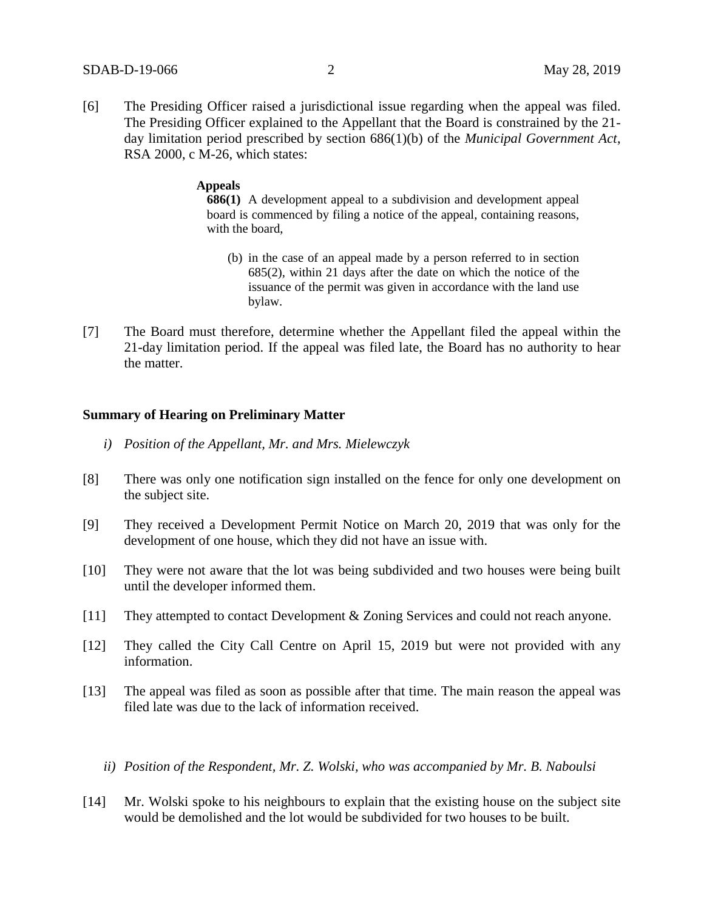[6] The Presiding Officer raised a jurisdictional issue regarding when the appeal was filed. The Presiding Officer explained to the Appellant that the Board is constrained by the 21 day limitation period prescribed by section 686(1)(b) of the *Municipal Government Act*, RSA 2000, c M-26, which states:

#### **Appeals**

**686(1)** A development appeal to a subdivision and development appeal board is commenced by filing a notice of the appeal, containing reasons, with the board,

- (b) in the case of an appeal made by a person referred to in section 685(2), within 21 days after the date on which the notice of the issuance of the permit was given in accordance with the land use bylaw.
- [7] The Board must therefore, determine whether the Appellant filed the appeal within the 21-day limitation period. If the appeal was filed late, the Board has no authority to hear the matter.

### **Summary of Hearing on Preliminary Matter**

- *i) Position of the Appellant, Mr. and Mrs. Mielewczyk*
- [8] There was only one notification sign installed on the fence for only one development on the subject site.
- [9] They received a Development Permit Notice on March 20, 2019 that was only for the development of one house, which they did not have an issue with.
- [10] They were not aware that the lot was being subdivided and two houses were being built until the developer informed them.
- [11] They attempted to contact Development & Zoning Services and could not reach anyone.
- [12] They called the City Call Centre on April 15, 2019 but were not provided with any information.
- [13] The appeal was filed as soon as possible after that time. The main reason the appeal was filed late was due to the lack of information received.
	- *ii) Position of the Respondent, Mr. Z. Wolski, who was accompanied by Mr. B. Naboulsi*
- [14] Mr. Wolski spoke to his neighbours to explain that the existing house on the subject site would be demolished and the lot would be subdivided for two houses to be built.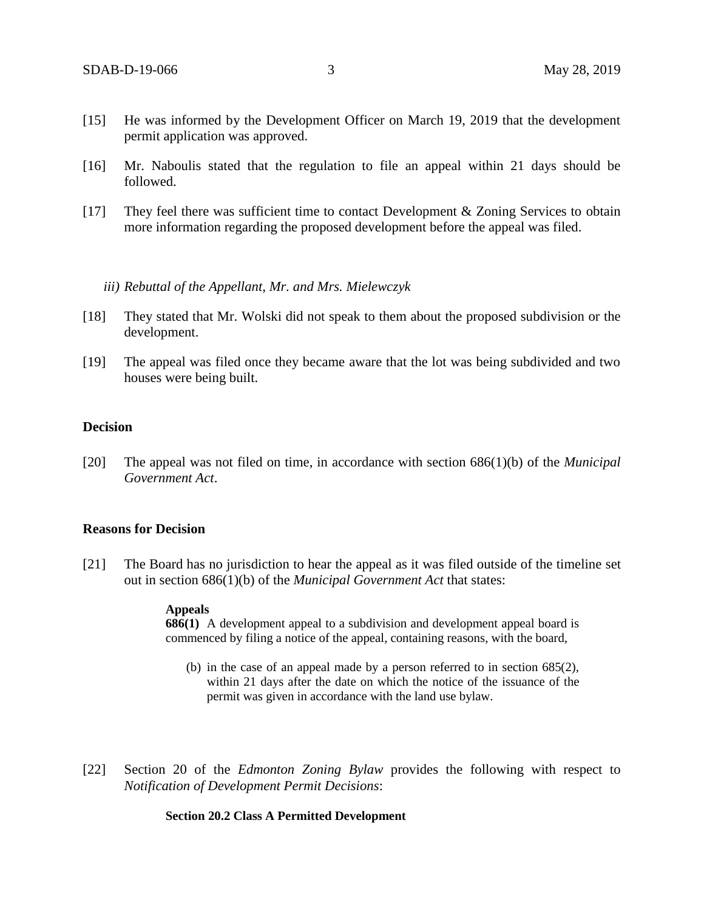- [15] He was informed by the Development Officer on March 19, 2019 that the development permit application was approved.
- [16] Mr. Naboulis stated that the regulation to file an appeal within 21 days should be followed.
- [17] They feel there was sufficient time to contact Development & Zoning Services to obtain more information regarding the proposed development before the appeal was filed.
	- *iii) Rebuttal of the Appellant, Mr. and Mrs. Mielewczyk*
- [18] They stated that Mr. Wolski did not speak to them about the proposed subdivision or the development.
- [19] The appeal was filed once they became aware that the lot was being subdivided and two houses were being built.

## **Decision**

[20] The appeal was not filed on time, in accordance with section 686(1)(b) of the *Municipal Government Act*.

### **Reasons for Decision**

[21] The Board has no jurisdiction to hear the appeal as it was filed outside of the timeline set out in section 686(1)(b) of the *Municipal Government Act* that states:

#### **Appeals**

**686(1)** A development appeal to a subdivision and development appeal board is commenced by filing a notice of the appeal, containing reasons, with the board,

- (b) in the case of an appeal made by a person referred to in section 685(2), within 21 days after the date on which the notice of the issuance of the permit was given in accordance with the land use bylaw.
- [22] Section 20 of the *Edmonton Zoning Bylaw* provides the following with respect to *Notification of Development Permit Decisions*:

### **Section 20.2 Class A Permitted Development**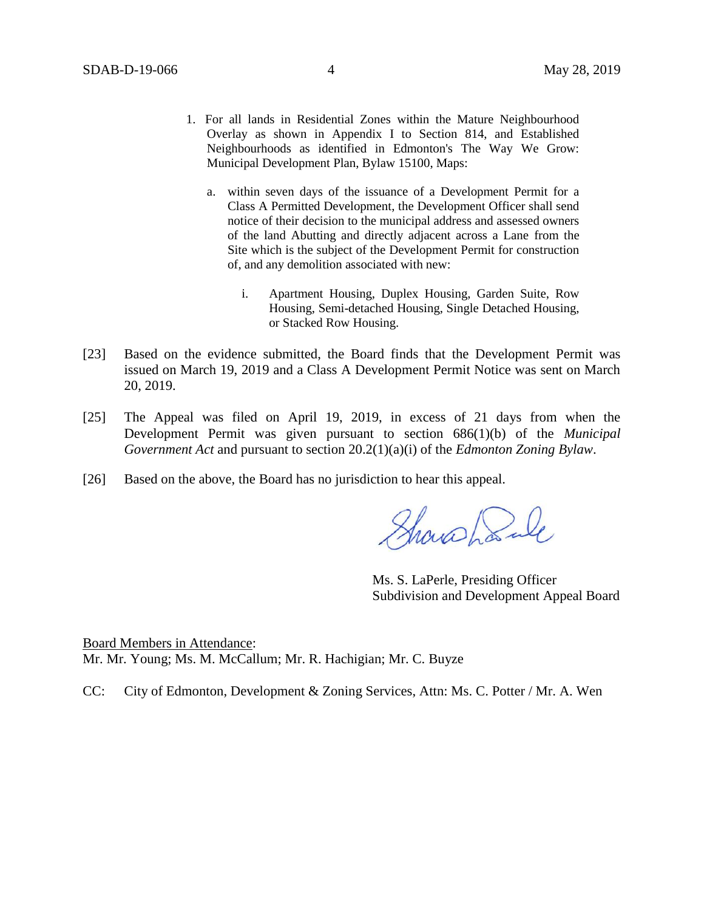- 1. For all lands in Residential Zones within the Mature Neighbourhood Overlay as shown in Appendix I to Section 814, and Established Neighbourhoods as identified in Edmonton's The Way We Grow: Municipal Development Plan, Bylaw 15100, Maps:
	- a. within seven days of the issuance of a Development Permit for a Class A Permitted Development, the Development Officer shall send notice of their decision to the municipal address and assessed owners of the land Abutting and directly adjacent across a Lane from the Site which is the subject of the Development Permit for construction of, and any demolition associated with new:
		- i. Apartment Housing, Duplex Housing, Garden Suite, Row Housing, Semi-detached Housing, Single Detached Housing, or Stacked Row Housing.
- [23] Based on the evidence submitted, the Board finds that the Development Permit was issued on March 19, 2019 and a Class A Development Permit Notice was sent on March 20, 2019.
- [25] The Appeal was filed on April 19, 2019, in excess of 21 days from when the Development Permit was given pursuant to section 686(1)(b) of the *Municipal Government Act* and pursuant to section 20.2(1)(a)(i) of the *Edmonton Zoning Bylaw*.
- [26] Based on the above, the Board has no jurisdiction to hear this appeal.

Showahank

Ms. S. LaPerle, Presiding Officer Subdivision and Development Appeal Board

Board Members in Attendance: Mr. Mr. Young; Ms. M. McCallum; Mr. R. Hachigian; Mr. C. Buyze

CC: City of Edmonton, Development & Zoning Services, Attn: Ms. C. Potter / Mr. A. Wen